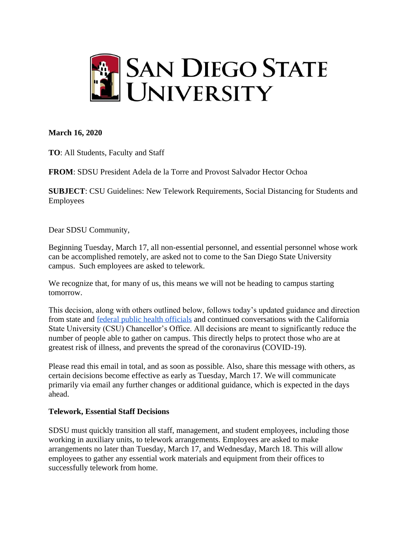

# **March 16, 2020**

**TO**: All Students, Faculty and Staff

**FROM**: SDSU President Adela de la Torre and Provost Salvador Hector Ochoa

**SUBJECT**: CSU Guidelines: New Telework Requirements, Social Distancing for Students and Employees

Dear SDSU Community,

Beginning Tuesday, March 17, all non-essential personnel, and essential personnel whose work can be accomplished remotely, are asked not to come to the San Diego State University campus. Such employees are asked to telework.

We recognize that, for many of us, this means we will not be heading to campus starting tomorrow.

This decision, along with others outlined below, follows today's updated guidance and direction from state and [federal public health officials](https://www.whitehouse.gov/wp-content/uploads/2020/03/03.16.20_coronavirus-guidance_8.5x11_315PM.pdf) and continued conversations with the California State University (CSU) Chancellor's Office. All decisions are meant to significantly reduce the number of people able to gather on campus. This directly helps to protect those who are at greatest risk of illness, and prevents the spread of the coronavirus (COVID-19).

Please read this email in total, and as soon as possible. Also, share this message with others, as certain decisions become effective as early as Tuesday, March 17. We will communicate primarily via email any further changes or additional guidance, which is expected in the days ahead.

# **Telework, Essential Staff Decisions**

SDSU must quickly transition all staff, management, and student employees, including those working in auxiliary units, to telework arrangements. Employees are asked to make arrangements no later than Tuesday, March 17, and Wednesday, March 18. This will allow employees to gather any essential work materials and equipment from their offices to successfully telework from home.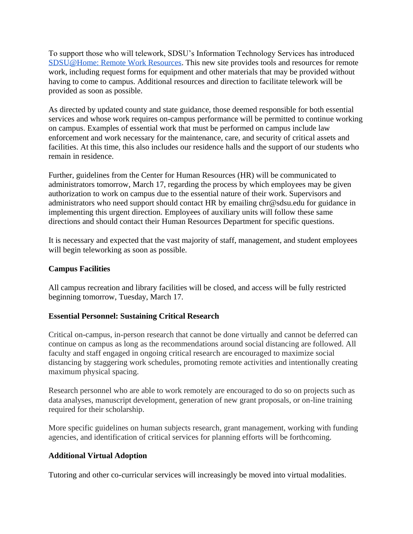To support those who will telework, SDSU's Information Technology Services has introduced [SDSU@Home: Remote Work Resources.](https://it.sdsu.edu/remote) This new site provides tools and resources for remote work, including request forms for equipment and other materials that may be provided without having to come to campus. Additional resources and direction to facilitate telework will be provided as soon as possible.

As directed by updated county and state guidance, those deemed responsible for both essential services and whose work requires on-campus performance will be permitted to continue working on campus. Examples of essential work that must be performed on campus include law enforcement and work necessary for the maintenance, care, and security of critical assets and facilities. At this time, this also includes our residence halls and the support of our students who remain in residence.

Further, guidelines from the Center for Human Resources (HR) will be communicated to administrators tomorrow, March 17, regarding the process by which employees may be given authorization to work on campus due to the essential nature of their work. Supervisors and administrators who need support should contact HR by emailing chr@sdsu.edu for guidance in implementing this urgent direction. Employees of auxiliary units will follow these same directions and should contact their Human Resources Department for specific questions.

It is necessary and expected that the vast majority of staff, management, and student employees will begin teleworking as soon as possible.

## **Campus Facilities**

All campus recreation and library facilities will be closed, and access will be fully restricted beginning tomorrow, Tuesday, March 17.

# **Essential Personnel: Sustaining Critical Research**

Critical on-campus, in-person research that cannot be done virtually and cannot be deferred can continue on campus as long as the recommendations around social distancing are followed. All faculty and staff engaged in ongoing critical research are encouraged to maximize social distancing by staggering work schedules, promoting remote activities and intentionally creating maximum physical spacing.

Research personnel who are able to work remotely are encouraged to do so on projects such as data analyses, manuscript development, generation of new grant proposals, or on-line training required for their scholarship.

More specific guidelines on human subjects research, grant management, working with funding agencies, and identification of critical services for planning efforts will be forthcoming.

# **Additional Virtual Adoption**

Tutoring and other co-curricular services will increasingly be moved into virtual modalities.